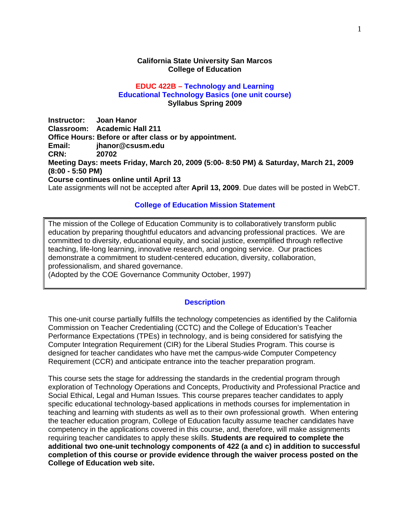### **California State University San Marcos College of Education**

## **EDUC 422B – Technology and Learning Educational Technology Basics (one unit course) Syllabus Spring 2009**

**CRN: Instructor: Joan Hanor Classroom: Academic Hall 211 Office Hours: Before or after class or by appointment. Email: jhanor@csusm.edu CRN: 20702 Meeting Days: meets Friday, March 20, 2009 (5:00- 8:50 PM) & Saturday, March 21, 2009 (8:00 - 5:50 PM) Course continues online until April 13**  Late assignments will not be accepted after **April 13, 2009**. Due dates will be posted in WebCT.

# **College of Education Mission Statement**

 education by preparing thoughtful educators and advancing professional practices. We are The mission of the College of Education Community is to collaboratively transform public committed to diversity, educational equity, and social justice, exemplified through reflective teaching, life-long learning, innovative research, and ongoing service. Our practices demonstrate a commitment to student-centered education, diversity, collaboration, professionalism, and shared governance.

(Adopted by the COE Governance Community October, 1997)

## **Description**

This one-unit course partially fulfills the technology competencies as identified by the California Commission on Teacher Credentialing (CCTC) and the College of Education's Teacher Performance Expectations (TPEs) in technology, and is being considered for satisfying the Computer Integration Requirement (CIR) for the Liberal Studies Program. This course is designed for teacher candidates who have met the campus-wide Computer Competency Requirement (CCR) and anticipate entrance into the teacher preparation program.

This course sets the stage for addressing the standards in the credential program through exploration of Technology Operations and Concepts, Productivity and Professional Practice and Social Ethical, Legal and Human Issues. This course prepares teacher candidates to apply specific educational technology-based applications in methods courses for implementation in teaching and learning with students as well as to their own professional growth. When entering the teacher education program, College of Education faculty assume teacher candidates have competency in the applications covered in this course, and, therefore, will make assignments requiring teacher candidates to apply these skills. **Students are required to complete the additional two one-unit technology components of 422 (a and c) in addition to successful completion of this course or provide evidence through the waiver process posted on the College of Education web site.**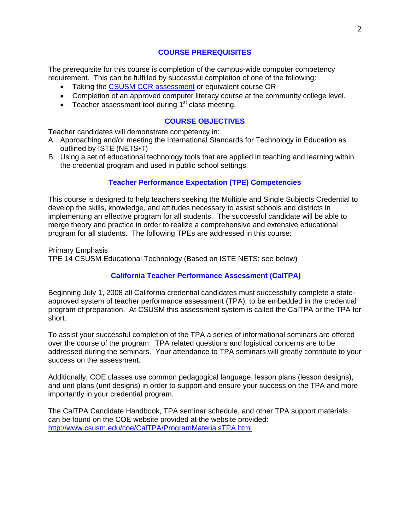## **COURSE PREREQUISITES**

The prerequisite for this course is completion of the campus-wide computer competency requirement. This can be fulfilled by successful completion of one of the following:

- Taking the CSUSM CCR assessment or equivalent course OR
- Completion of an approved computer literacy course at the community college level.
- Teacher assessment tool during  $1<sup>st</sup>$  class meeting.

# **COURSE OBJECTIVES**

Teacher candidates will demonstrate competency in:

- A. Approaching and/or meeting the International Standards for Technology in Education as outlined by ISTE (NETS•T)
- B. Using a set of educational technology tools that are applied in teaching and learning within the credential program and used in public school settings.

# **Teacher Performance Expectation (TPE) Competencies**

This course is designed to help teachers seeking the Multiple and Single Subjects Credential to develop the skills, knowledge, and attitudes necessary to assist schools and districts in implementing an effective program for all students. The successful candidate will be able to merge theory and practice in order to realize a comprehensive and extensive educational program for all students. The following TPEs are addressed in this course:

Primary Emphasis TPE 14 CSUSM Educational Technology (Based on ISTE NETS: see below)

# **California Teacher Performance Assessment (CalTPA)**

Beginning July 1, 2008 all California credential candidates must successfully complete a stateapproved system of teacher performance assessment (TPA), to be embedded in the credential program of preparation. At CSUSM this assessment system is called the CalTPA or the TPA for short.

To assist your successful completion of the TPA a series of informational seminars are offered over the course of the program. TPA related questions and logistical concerns are to be addressed during the seminars. Your attendance to TPA seminars will greatly contribute to your success on the assessment.

Additionally, COE classes use common pedagogical language, lesson plans (lesson designs), and unit plans (unit designs) in order to support and ensure your success on the TPA and more importantly in your credential program.

 http://www.csusm.edu/coe/CalTPA/ProgramMaterialsTPA.html The CalTPA Candidate Handbook, TPA seminar schedule, and other TPA support materials can be found on the COE website provided at the website provided: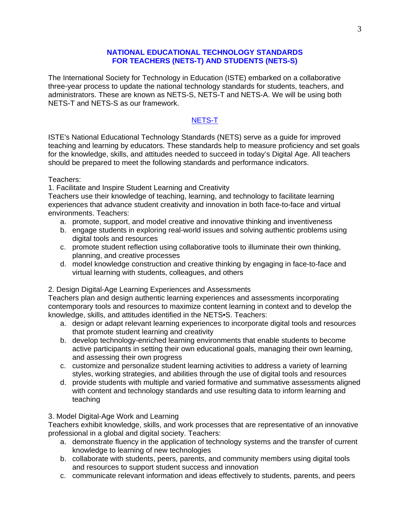## **NATIONAL EDUCATIONAL TECHNOLOGY STANDARDS FOR TEACHERS (NETS-T) AND STUDENTS (NETS-S)**

The International Society for Technology in Education (ISTE) embarked on a collaborative three-year process to update the national technology standards for students, teachers, and administrators. These are known as NETS-S, NETS-T and NETS-A. We will be using both NETS-T and NETS-S as our framework.

# NETS-T

ISTE's National Educational Technology Standards (NETS) serve as a guide for improved teaching and learning by educators. These standards help to measure proficiency and set goals for the knowledge, skills, and attitudes needed to succeed in today's Digital Age. All teachers should be prepared to meet the following standards and performance indicators.

## Teachers:

1. Facilitate and Inspire Student Learning and Creativity

 environments. Teachers: Teachers use their knowledge of teaching, learning, and technology to facilitate learning experiences that advance student creativity and innovation in both face-to-face and virtual

- a. promote, support, and model creative and innovative thinking and inventiveness
- b. engage students in exploring real-world issues and solving authentic problems using digital tools and resources
- c. promote student reflection using collaborative tools to illuminate their own thinking, planning, and creative processes
- d. model knowledge construction and creative thinking by engaging in face-to-face and virtual learning with students, colleagues, and others

# 2. Design Digital-Age Learning Experiences and Assessments

Teachers plan and design authentic learning experiences and assessments incorporating contemporary tools and resources to maximize content learning in context and to develop the knowledge, skills, and attitudes identified in the NETS•S. Teachers:

- a. design or adapt relevant learning experiences to incorporate digital tools and resources that promote student learning and creativity
- b. develop technology-enriched learning environments that enable students to become active participants in setting their own educational goals, managing their own learning, and assessing their own progress
- c. customize and personalize student learning activities to address a variety of learning styles, working strategies, and abilities through the use of digital tools and resources
- d. provide students with multiple and varied formative and summative assessments aligned with content and technology standards and use resulting data to inform learning and teaching

# 3. Model Digital-Age Work and Learning

Teachers exhibit knowledge, skills, and work processes that are representative of an innovative professional in a global and digital society. Teachers:

- a. demonstrate fluency in the application of technology systems and the transfer of current knowledge to learning of new technologies
- b. collaborate with students, peers, parents, and community members using digital tools and resources to support student success and innovation
- c. communicate relevant information and ideas effectively to students, parents, and peers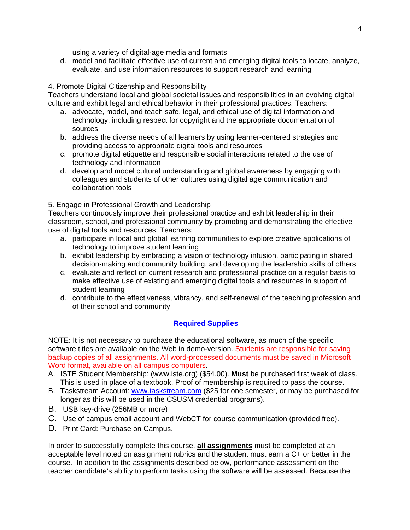using a variety of digital-age media and formats

 evaluate, and use information resources to support research and learning 4. Promote Digital Citizenship and Responsibility d. model and facilitate effective use of current and emerging digital tools to locate, analyze,

Teachers understand local and global societal issues and responsibilities in an evolving digital culture and exhibit legal and ethical behavior in their professional practices. Teachers:

- a. advocate, model, and teach safe, legal, and ethical use of digital information and technology, including respect for copyright and the appropriate documentation of sources
- b. address the diverse needs of all learners by using learner-centered strategies and providing access to appropriate digital tools and resources
- c. promote digital etiquette and responsible social interactions related to the use of technology and information
- d. develop and model cultural understanding and global awareness by engaging with colleagues and students of other cultures using digital age communication and collaboration tools

# 5. Engage in Professional Growth and Leadership

Teachers continuously improve their professional practice and exhibit leadership in their classroom, school, and professional community by promoting and demonstrating the effective use of digital tools and resources. Teachers:

- a. participate in local and global learning communities to explore creative applications of technology to improve student learning
- b. exhibit leadership by embracing a vision of technology infusion, participating in shared decision-making and community building, and developing the leadership skills of others
- c. evaluate and reflect on current research and professional practice on a regular basis to make effective use of existing and emerging digital tools and resources in support of student learning
- d. contribute to the effectiveness, vibrancy, and self-renewal of the teaching profession and of their school and community

# **Required Supplies**

NOTE: It is not necessary to purchase the educational software, as much of the specific software titles are available on the Web in demo-version. Students are responsible for saving backup copies of all assignments. All word-processed documents must be saved in Microsoft Word format, available on all campus computers.

- A. ISTE Student Membership: (www.iste.org) (\$54.00). **Must** be purchased first week of class. This is used in place of a textbook. Proof of membership is required to pass the course.
- B. Taskstream Account: www.taskstream.com (\$25 for one semester, or may be purchased for longer as this will be used in the CSUSM credential programs).
- B. USB key-drive (256MB or more)
- C. Use of campus email account and WebCT for course communication (provided free).
- D. Print Card: Purchase on Campus.

In order to successfully complete this course, **all assignments** must be completed at an acceptable level noted on assignment rubrics and the student must earn a C+ or better in the course. In addition to the assignments described below, performance assessment on the teacher candidate's ability to perform tasks using the software will be assessed. Because the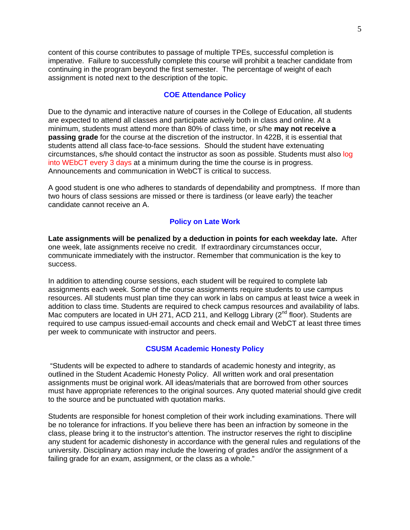content of this course contributes to passage of multiple TPEs, successful completion is imperative. Failure to successfully complete this course will prohibit a teacher candidate from continuing in the program beyond the first semester. The percentage of weight of each assignment is noted next to the description of the topic.

## **COE Attendance Policy**

Due to the dynamic and interactive nature of courses in the College of Education, all students are expected to attend all classes and participate actively both in class and online. At a minimum, students must attend more than 80% of class time, or s/he **may not receive a passing grade** for the course at the discretion of the instructor. In 422B, it is essential that students attend all class face-to-face sessions. Should the student have extenuating circumstances, s/he should contact the instructor as soon as possible. Students must also log into WEbCT every 3 days at a minimum during the time the course is in progress. Announcements and communication in WebCT is critical to success.

A good student is one who adheres to standards of dependability and promptness. If more than two hours of class sessions are missed or there is tardiness (or leave early) the teacher candidate cannot receive an A.

## **Policy on Late Work**

**Late assignments will be penalized by a deduction in points for each weekday late.** After one week, late assignments receive no credit. If extraordinary circumstances occur, communicate immediately with the instructor. Remember that communication is the key to success.

In addition to attending course sessions, each student will be required to complete lab assignments each week. Some of the course assignments require students to use campus resources. All students must plan time they can work in labs on campus at least twice a week in addition to class time. Students are required to check campus resources and availability of labs. Mac computers are located in UH 271, ACD 211, and Kellogg Library (2<sup>nd</sup> floor). Students are required to use campus issued-email accounts and check email and WebCT at least three times per week to communicate with instructor and peers.

#### **CSUSM Academic Honesty Policy**

 "Students will be expected to adhere to standards of academic honesty and integrity, as outlined in the Student Academic Honesty Policy. All written work and oral presentation assignments must be original work. All ideas/materials that are borrowed from other sources must have appropriate references to the original sources. Any quoted material should give credit to the source and be punctuated with quotation marks.

Students are responsible for honest completion of their work including examinations. There will be no tolerance for infractions. If you believe there has been an infraction by someone in the class, please bring it to the instructor's attention. The instructor reserves the right to discipline any student for academic dishonesty in accordance with the general rules and regulations of the university. Disciplinary action may include the lowering of grades and/or the assignment of a failing grade for an exam, assignment, or the class as a whole."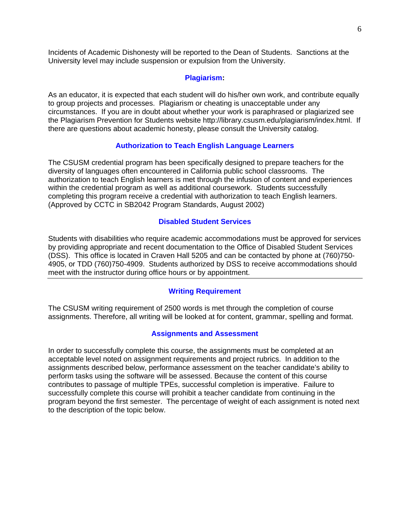Incidents of Academic Dishonesty will be reported to the Dean of Students. Sanctions at the University level may include suspension or expulsion from the University.

#### **Plagiarism:**

As an educator, it is expected that each student will do his/her own work, and contribute equally to group projects and processes. Plagiarism or cheating is unacceptable under any circumstances. If you are in doubt about whether your work is paraphrased or plagiarized see the Plagiarism Prevention for Students website http://library.csusm.edu/plagiarism/index.html. If there are questions about academic honesty, please consult the University catalog.

# **Authorization to Teach English Language Learners**

The CSUSM credential program has been specifically designed to prepare teachers for the diversity of languages often encountered in California public school classrooms. The authorization to teach English learners is met through the infusion of content and experiences within the credential program as well as additional coursework. Students successfully completing this program receive a credential with authorization to teach English learners. (Approved by CCTC in SB2042 Program Standards, August 2002)

#### **Disabled Student Services**

Students with disabilities who require academic accommodations must be approved for services by providing appropriate and recent documentation to the Office of Disabled Student Services (DSS). This office is located in Craven Hall 5205 and can be contacted by phone at (760)750- 4905, or TDD (760)750-4909. Students authorized by DSS to receive accommodations should meet with the instructor during office hours or by appointment.

## **Writing Requirement**

The CSUSM writing requirement of 2500 words is met through the completion of course assignments. Therefore, all writing will be looked at for content, grammar, spelling and format.

#### **Assignments and Assessment**

In order to successfully complete this course, the assignments must be completed at an acceptable level noted on assignment requirements and project rubrics. In addition to the assignments described below, performance assessment on the teacher candidate's ability to perform tasks using the software will be assessed. Because the content of this course contributes to passage of multiple TPEs, successful completion is imperative. Failure to successfully complete this course will prohibit a teacher candidate from continuing in the program beyond the first semester. The percentage of weight of each assignment is noted next to the description of the topic below.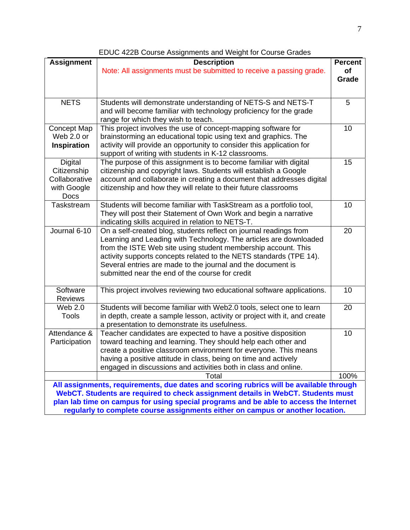| <b>Assignment</b>                                                                                                                                                                                                                                                   | <b>Description</b><br>Note: All assignments must be submitted to receive a passing grade.                                                                                                                                                                                                                                                                                                       | <b>Percent</b><br>of<br>Grade |  |
|---------------------------------------------------------------------------------------------------------------------------------------------------------------------------------------------------------------------------------------------------------------------|-------------------------------------------------------------------------------------------------------------------------------------------------------------------------------------------------------------------------------------------------------------------------------------------------------------------------------------------------------------------------------------------------|-------------------------------|--|
|                                                                                                                                                                                                                                                                     |                                                                                                                                                                                                                                                                                                                                                                                                 |                               |  |
| <b>NETS</b>                                                                                                                                                                                                                                                         | Students will demonstrate understanding of NETS-S and NETS-T<br>and will become familiar with technology proficiency for the grade<br>range for which they wish to teach.                                                                                                                                                                                                                       | 5                             |  |
| <b>Concept Map</b><br>Web 2.0 or<br><b>Inspiration</b>                                                                                                                                                                                                              | This project involves the use of concept-mapping software for<br>brainstorming an educational topic using text and graphics. The<br>activity will provide an opportunity to consider this application for<br>support of writing with students in K-12 classrooms.                                                                                                                               |                               |  |
| <b>Digital</b><br>Citizenship<br>Collaborative<br>with Google<br>Docs                                                                                                                                                                                               | The purpose of this assignment is to become familiar with digital<br>15<br>citizenship and copyright laws. Students will establish a Google<br>account and collaborate in creating a document that addresses digital<br>citizenship and how they will relate to their future classrooms                                                                                                         |                               |  |
| Taskstream                                                                                                                                                                                                                                                          | Students will become familiar with TaskStream as a portfolio tool,<br>They will post their Statement of Own Work and begin a narrative<br>indicating skills acquired in relation to NETS-T.                                                                                                                                                                                                     |                               |  |
| Journal 6-10                                                                                                                                                                                                                                                        | On a self-created blog, students reflect on journal readings from<br>Learning and Leading with Technology. The articles are downloaded<br>from the ISTE Web site using student membership account. This<br>activity supports concepts related to the NETS standards (TPE 14).<br>Several entries are made to the journal and the document is<br>submitted near the end of the course for credit |                               |  |
| Software<br>Reviews                                                                                                                                                                                                                                                 | This project involves reviewing two educational software applications.                                                                                                                                                                                                                                                                                                                          | 10                            |  |
| Web 2.0<br><b>Tools</b>                                                                                                                                                                                                                                             | Students will become familiar with Web2.0 tools, select one to learn<br>in depth, create a sample lesson, activity or project with it, and create<br>a presentation to demonstrate its usefulness.                                                                                                                                                                                              | 20                            |  |
| Attendance &<br>Participation                                                                                                                                                                                                                                       | Teacher candidates are expected to have a positive disposition<br>toward teaching and learning. They should help each other and<br>create a positive classroom environment for everyone. This means<br>having a positive attitude in class, being on time and actively<br>engaged in discussions and activities both in class and online.                                                       | 10<br>100%                    |  |
| Total                                                                                                                                                                                                                                                               |                                                                                                                                                                                                                                                                                                                                                                                                 |                               |  |
| All assignments, requirements, due dates and scoring rubrics will be available through<br>WebCT. Students are required to check assignment details in WebCT. Students must<br>plan lab time on campus for using special programs and be able to access the Internet |                                                                                                                                                                                                                                                                                                                                                                                                 |                               |  |
| regularly to complete course assignments either on campus or another location.                                                                                                                                                                                      |                                                                                                                                                                                                                                                                                                                                                                                                 |                               |  |

EDUC 422B Course Assignments and Weight for Course Grades